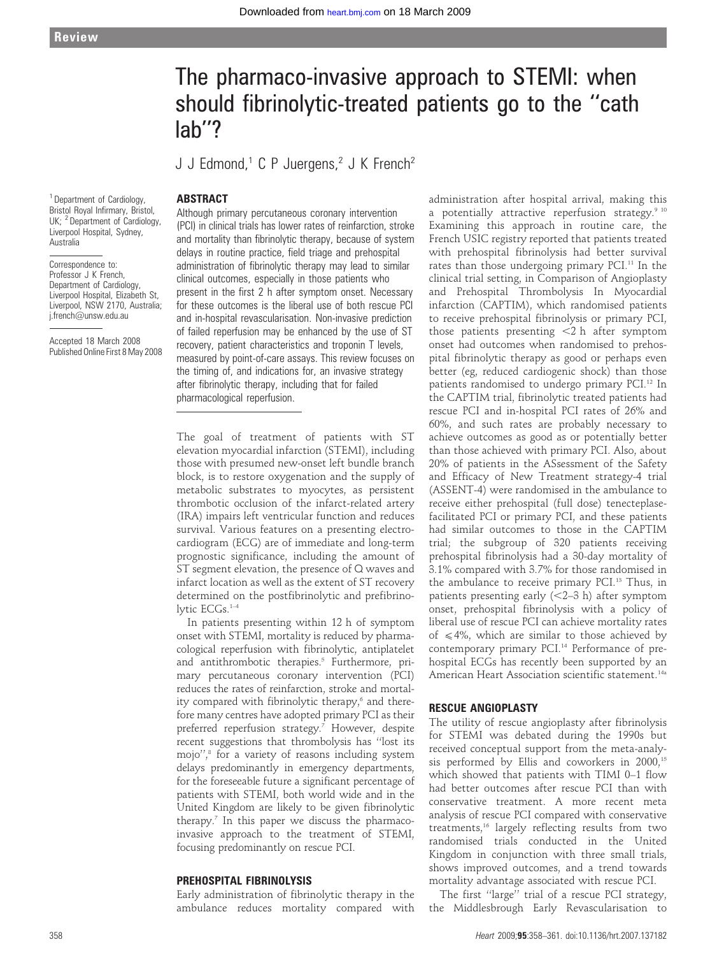# The pharmaco-invasive approach to STEMI: when should fibrinolytic-treated patients go to the ''cath lab''?

J J Edmond,<sup>1</sup> C P Juergens,<sup>2</sup> J K French<sup>2</sup>

# ABSTRACT

<sup>1</sup> Department of Cardiology, Bristol Royal Infirmary, Bristol, UK; <sup>2</sup> Department of Cardiology, Liverpool Hospital, Sydney, Australia

Correspondence to: Professor J K French Department of Cardiology, Liverpool Hospital, Elizabeth St, Liverpool, NSW 2170, Australia; j.french@unsw.edu.au

Accepted 18 March 2008 Published Online First 8 May 2008 Although primary percutaneous coronary intervention (PCI) in clinical trials has lower rates of reinfarction, stroke and mortality than fibrinolytic therapy, because of system delays in routine practice, field triage and prehospital administration of fibrinolytic therapy may lead to similar clinical outcomes, especially in those patients who present in the first 2 h after symptom onset. Necessary for these outcomes is the liberal use of both rescue PCI and in-hospital revascularisation. Non-invasive prediction of failed reperfusion may be enhanced by the use of ST recovery, patient characteristics and troponin T levels, measured by point-of-care assays. This review focuses on the timing of, and indications for, an invasive strategy after fibrinolytic therapy, including that for failed pharmacological reperfusion.

The goal of treatment of patients with ST elevation myocardial infarction (STEMI), including those with presumed new-onset left bundle branch block, is to restore oxygenation and the supply of metabolic substrates to myocytes, as persistent thrombotic occlusion of the infarct-related artery (IRA) impairs left ventricular function and reduces survival. Various features on a presenting electrocardiogram (ECG) are of immediate and long-term prognostic significance, including the amount of ST segment elevation, the presence of Q waves and infarct location as well as the extent of ST recovery determined on the postfibrinolytic and prefibrinolytic ECGs.1–4

In patients presenting within 12 h of symptom onset with STEMI, mortality is reduced by pharmacological reperfusion with fibrinolytic, antiplatelet and antithrombotic therapies.<sup>5</sup> Furthermore, primary percutaneous coronary intervention (PCI) reduces the rates of reinfarction, stroke and mortality compared with fibrinolytic therapy,<sup>6</sup> and therefore many centres have adopted primary PCI as their preferred reperfusion strategy.<sup>7</sup> However, despite recent suggestions that thrombolysis has ''lost its mojo'',8 for a variety of reasons including system delays predominantly in emergency departments, for the foreseeable future a significant percentage of patients with STEMI, both world wide and in the United Kingdom are likely to be given fibrinolytic therapy.<sup>7</sup> In this paper we discuss the pharmacoinvasive approach to the treatment of STEMI, focusing predominantly on rescue PCI.

## PREHOSPITAL FIBRINOLYSIS

Early administration of fibrinolytic therapy in the ambulance reduces mortality compared with administration after hospital arrival, making this a potentially attractive reperfusion strategy.<sup>9 10</sup> Examining this approach in routine care, the French USIC registry reported that patients treated with prehospital fibrinolysis had better survival rates than those undergoing primary PCI.<sup>11</sup> In the clinical trial setting, in Comparison of Angioplasty and Prehospital Thrombolysis In Myocardial infarction (CAPTIM), which randomised patients to receive prehospital fibrinolysis or primary PCI, those patients presenting  $<$ 2 h after symptom onset had outcomes when randomised to prehospital fibrinolytic therapy as good or perhaps even better (eg, reduced cardiogenic shock) than those patients randomised to undergo primary PCI.<sup>12</sup> In the CAPTIM trial, fibrinolytic treated patients had rescue PCI and in-hospital PCI rates of 26% and 60%, and such rates are probably necessary to achieve outcomes as good as or potentially better than those achieved with primary PCI. Also, about 20% of patients in the ASsessment of the Safety and Efficacy of New Treatment strategy-4 trial (ASSENT-4) were randomised in the ambulance to receive either prehospital (full dose) tenecteplasefacilitated PCI or primary PCI, and these patients had similar outcomes to those in the CAPTIM trial; the subgroup of 320 patients receiving prehospital fibrinolysis had a 30-day mortality of 3.1% compared with 3.7% for those randomised in the ambulance to receive primary PCI.<sup>13</sup> Thus, in patients presenting early  $(<2-3 h)$  after symptom onset, prehospital fibrinolysis with a policy of liberal use of rescue PCI can achieve mortality rates of  $\leq 4\%$ , which are similar to those achieved by contemporary primary PCI.<sup>14</sup> Performance of prehospital ECGs has recently been supported by an American Heart Association scientific statement.<sup>14a</sup>

### RESCUE ANGIOPLASTY

The utility of rescue angioplasty after fibrinolysis for STEMI was debated during the 1990s but received conceptual support from the meta-analysis performed by Ellis and coworkers in  $2000$ ,<sup>15</sup> which showed that patients with TIMI 0–1 flow had better outcomes after rescue PCI than with conservative treatment. A more recent meta analysis of rescue PCI compared with conservative treatments,<sup>16</sup> largely reflecting results from two randomised trials conducted in the United Kingdom in conjunction with three small trials, shows improved outcomes, and a trend towards mortality advantage associated with rescue PCI.

The first ''large'' trial of a rescue PCI strategy, the Middlesbrough Early Revascularisation to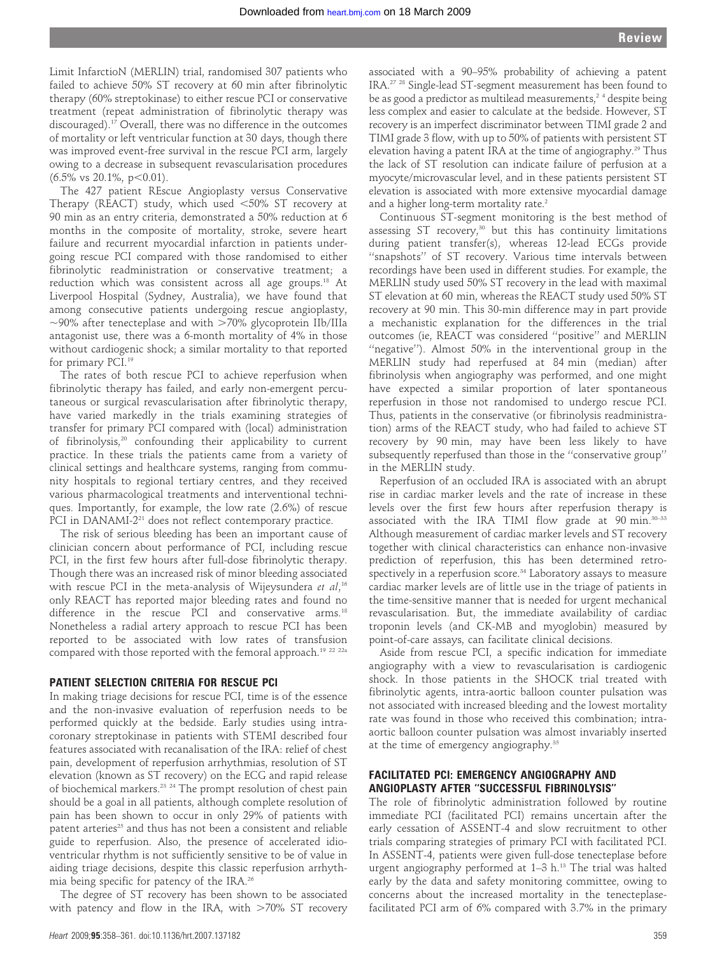Limit InfarctioN (MERLIN) trial, randomised 307 patients who failed to achieve 50% ST recovery at 60 min after fibrinolytic therapy (60% streptokinase) to either rescue PCI or conservative treatment (repeat administration of fibrinolytic therapy was discouraged).17 Overall, there was no difference in the outcomes of mortality or left ventricular function at 30 days, though there was improved event-free survival in the rescue PCI arm, largely owing to a decrease in subsequent revascularisation procedures  $(6.5\% \text{ vs } 20.1\%, \text{ p} < 0.01).$ 

The 427 patient REscue Angioplasty versus Conservative Therapy (REACT) study, which used  $<50\%$  ST recovery at 90 min as an entry criteria, demonstrated a 50% reduction at 6 months in the composite of mortality, stroke, severe heart failure and recurrent myocardial infarction in patients undergoing rescue PCI compared with those randomised to either fibrinolytic readministration or conservative treatment; a reduction which was consistent across all age groups.18 At Liverpool Hospital (Sydney, Australia), we have found that among consecutive patients undergoing rescue angioplasty,  $\sim$ 90% after tenecteplase and with  $>$ 70% glycoprotein IIb/IIIa antagonist use, there was a 6-month mortality of 4% in those without cardiogenic shock; a similar mortality to that reported for primary PCI.<sup>19</sup>

The rates of both rescue PCI to achieve reperfusion when fibrinolytic therapy has failed, and early non-emergent percutaneous or surgical revascularisation after fibrinolytic therapy, have varied markedly in the trials examining strategies of transfer for primary PCI compared with (local) administration of fibrinolysis,20 confounding their applicability to current practice. In these trials the patients came from a variety of clinical settings and healthcare systems, ranging from community hospitals to regional tertiary centres, and they received various pharmacological treatments and interventional techniques. Importantly, for example, the low rate (2.6%) of rescue PCI in DANAMI-2<sup>21</sup> does not reflect contemporary practice.

The risk of serious bleeding has been an important cause of clinician concern about performance of PCI, including rescue PCI, in the first few hours after full-dose fibrinolytic therapy. Though there was an increased risk of minor bleeding associated with rescue PCI in the meta-analysis of Wijeysundera *et al*,16 only REACT has reported major bleeding rates and found no difference in the rescue PCI and conservative arms.<sup>18</sup> Nonetheless a radial artery approach to rescue PCI has been reported to be associated with low rates of transfusion compared with those reported with the femoral approach.<sup>19 22 22a</sup>

#### PATIENT SELECTION CRITERIA FOR RESCUE PCI

In making triage decisions for rescue PCI, time is of the essence and the non-invasive evaluation of reperfusion needs to be performed quickly at the bedside. Early studies using intracoronary streptokinase in patients with STEMI described four features associated with recanalisation of the IRA: relief of chest pain, development of reperfusion arrhythmias, resolution of ST elevation (known as ST recovery) on the ECG and rapid release of biochemical markers.23 24 The prompt resolution of chest pain should be a goal in all patients, although complete resolution of pain has been shown to occur in only 29% of patients with patent arteries<sup>25</sup> and thus has not been a consistent and reliable guide to reperfusion. Also, the presence of accelerated idioventricular rhythm is not sufficiently sensitive to be of value in aiding triage decisions, despite this classic reperfusion arrhythmia being specific for patency of the IRA.26

The degree of ST recovery has been shown to be associated with patency and flow in the IRA, with  $>70\%$  ST recovery

associated with a 90–95% probability of achieving a patent IRA.27 28 Single-lead ST-segment measurement has been found to be as good a predictor as multilead measurements,<sup>24</sup> despite being less complex and easier to calculate at the bedside. However, ST recovery is an imperfect discriminator between TIMI grade 2 and TIMI grade 3 flow, with up to 50% of patients with persistent ST elevation having a patent IRA at the time of angiography.<sup>29</sup> Thus the lack of ST resolution can indicate failure of perfusion at a myocyte/microvascular level, and in these patients persistent ST elevation is associated with more extensive myocardial damage and a higher long-term mortality rate.<sup>2</sup>

Continuous ST-segment monitoring is the best method of assessing ST recovery, $30$  but this has continuity limitations during patient transfer(s), whereas 12-lead ECGs provide ''snapshots'' of ST recovery. Various time intervals between recordings have been used in different studies. For example, the MERLIN study used 50% ST recovery in the lead with maximal ST elevation at 60 min, whereas the REACT study used 50% ST recovery at 90 min. This 30-min difference may in part provide a mechanistic explanation for the differences in the trial outcomes (ie, REACT was considered ''positive'' and MERLIN ''negative''). Almost 50% in the interventional group in the MERLIN study had reperfused at 84 min (median) after fibrinolysis when angiography was performed, and one might have expected a similar proportion of later spontaneous reperfusion in those not randomised to undergo rescue PCI. Thus, patients in the conservative (or fibrinolysis readministration) arms of the REACT study, who had failed to achieve ST recovery by 90 min, may have been less likely to have subsequently reperfused than those in the ''conservative group'' in the MERLIN study.

Reperfusion of an occluded IRA is associated with an abrupt rise in cardiac marker levels and the rate of increase in these levels over the first few hours after reperfusion therapy is associated with the IRA TIMI flow grade at 90 min.<sup>30-33</sup> Although measurement of cardiac marker levels and ST recovery together with clinical characteristics can enhance non-invasive prediction of reperfusion, this has been determined retrospectively in a reperfusion score.<sup>34</sup> Laboratory assays to measure cardiac marker levels are of little use in the triage of patients in the time-sensitive manner that is needed for urgent mechanical revascularisation. But, the immediate availability of cardiac troponin levels (and CK-MB and myoglobin) measured by point-of-care assays, can facilitate clinical decisions.

Aside from rescue PCI, a specific indication for immediate angiography with a view to revascularisation is cardiogenic shock. In those patients in the SHOCK trial treated with fibrinolytic agents, intra-aortic balloon counter pulsation was not associated with increased bleeding and the lowest mortality rate was found in those who received this combination; intraaortic balloon counter pulsation was almost invariably inserted at the time of emergency angiography.<sup>35</sup>

## FACILITATED PCI: EMERGENCY ANGIOGRAPHY AND ANGIOPLASTY AFTER ''SUCCESSFUL FIBRINOLYSIS''

The role of fibrinolytic administration followed by routine immediate PCI (facilitated PCI) remains uncertain after the early cessation of ASSENT-4 and slow recruitment to other trials comparing strategies of primary PCI with facilitated PCI. In ASSENT-4, patients were given full-dose tenecteplase before urgent angiography performed at 1-3 h.<sup>13</sup> The trial was halted early by the data and safety monitoring committee, owing to concerns about the increased mortality in the tenecteplasefacilitated PCI arm of 6% compared with 3.7% in the primary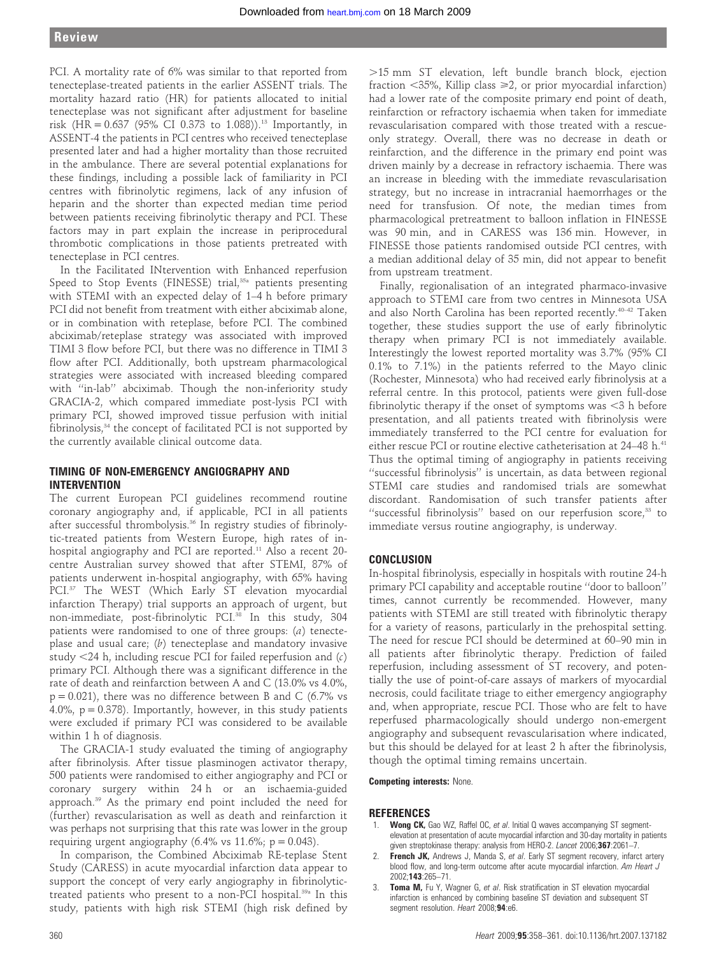PCI. A mortality rate of 6% was similar to that reported from tenecteplase-treated patients in the earlier ASSENT trials. The mortality hazard ratio (HR) for patients allocated to initial tenecteplase was not significant after adjustment for baseline risk  $(HR = 0.637)$  (95% CI 0.373 to 1.088)).<sup>13</sup> Importantly, in ASSENT-4 the patients in PCI centres who received tenecteplase presented later and had a higher mortality than those recruited in the ambulance. There are several potential explanations for these findings, including a possible lack of familiarity in PCI centres with fibrinolytic regimens, lack of any infusion of heparin and the shorter than expected median time period between patients receiving fibrinolytic therapy and PCI. These factors may in part explain the increase in periprocedural thrombotic complications in those patients pretreated with tenecteplase in PCI centres.

In the Facilitated INtervention with Enhanced reperfusion Speed to Stop Events (FINESSE) trial,<sup>35a</sup> patients presenting with STEMI with an expected delay of 1–4 h before primary PCI did not benefit from treatment with either abciximab alone, or in combination with reteplase, before PCI. The combined abciximab/reteplase strategy was associated with improved TIMI 3 flow before PCI, but there was no difference in TIMI 3 flow after PCI. Additionally, both upstream pharmacological strategies were associated with increased bleeding compared with "in-lab" abciximab. Though the non-inferiority study GRACIA-2, which compared immediate post-lysis PCI with primary PCI, showed improved tissue perfusion with initial fibrinolysis, $34$  the concept of facilitated PCI is not supported by the currently available clinical outcome data.

## TIMING OF NON-EMERGENCY ANGIOGRAPHY AND INTERVENTION

The current European PCI guidelines recommend routine coronary angiography and, if applicable, PCI in all patients after successful thrombolysis.36 In registry studies of fibrinolytic-treated patients from Western Europe, high rates of inhospital angiography and PCI are reported.<sup>11</sup> Also a recent 20centre Australian survey showed that after STEMI, 87% of patients underwent in-hospital angiography, with 65% having PCI.<sup>37</sup> The WEST (Which Early ST elevation myocardial infarction Therapy) trial supports an approach of urgent, but non-immediate, post-fibrinolytic PCI.<sup>38</sup> In this study, 304 patients were randomised to one of three groups: (a) tenecteplase and usual care;  $(b)$  tenecteplase and mandatory invasive study  $<$ 24 h, including rescue PCI for failed reperfusion and (c) primary PCI. Although there was a significant difference in the rate of death and reinfarction between A and C (13.0% vs 4.0%,  $p = 0.021$ ), there was no difference between B and C (6.7% vs 4.0%,  $p = 0.378$ ). Importantly, however, in this study patients were excluded if primary PCI was considered to be available within 1 h of diagnosis.

The GRACIA-1 study evaluated the timing of angiography after fibrinolysis. After tissue plasminogen activator therapy, 500 patients were randomised to either angiography and PCI or coronary surgery within 24 h or an ischaemia-guided approach.39 As the primary end point included the need for (further) revascularisation as well as death and reinfarction it was perhaps not surprising that this rate was lower in the group requiring urgent angiography (6.4% vs  $11.6\%$ ; p = 0.043).

In comparison, the Combined Abciximab RE-teplase Stent Study (CARESS) in acute myocardial infarction data appear to support the concept of very early angiography in fibrinolytictreated patients who present to a non-PCI hospital.<sup>39a</sup> In this study, patients with high risk STEMI (high risk defined by

.15 mm ST elevation, left bundle branch block, ejection fraction  $\langle 35\%,$  Killip class  $\geq 2$ , or prior myocardial infarction) had a lower rate of the composite primary end point of death, reinfarction or refractory ischaemia when taken for immediate revascularisation compared with those treated with a rescueonly strategy. Overall, there was no decrease in death or reinfarction, and the difference in the primary end point was driven mainly by a decrease in refractory ischaemia. There was an increase in bleeding with the immediate revascularisation strategy, but no increase in intracranial haemorrhages or the need for transfusion. Of note, the median times from pharmacological pretreatment to balloon inflation in FINESSE was 90 min, and in CARESS was 136 min. However, in FINESSE those patients randomised outside PCI centres, with a median additional delay of 35 min, did not appear to benefit from upstream treatment.

Finally, regionalisation of an integrated pharmaco-invasive approach to STEMI care from two centres in Minnesota USA and also North Carolina has been reported recently.<sup>40-42</sup> Taken together, these studies support the use of early fibrinolytic therapy when primary PCI is not immediately available. Interestingly the lowest reported mortality was 3.7% (95% CI 0.1% to 7.1%) in the patients referred to the Mayo clinic (Rochester, Minnesota) who had received early fibrinolysis at a referral centre. In this protocol, patients were given full-dose fibrinolytic therapy if the onset of symptoms was  $<$ 3 h before presentation, and all patients treated with fibrinolysis were immediately transferred to the PCI centre for evaluation for either rescue PCI or routine elective catheterisation at 24–48 h.<sup>41</sup> Thus the optimal timing of angiography in patients receiving ''successful fibrinolysis'' is uncertain, as data between regional STEMI care studies and randomised trials are somewhat discordant. Randomisation of such transfer patients after "successful fibrinolysis" based on our reperfusion score, $33$  to immediate versus routine angiography, is underway.

# CONCLUSION

In-hospital fibrinolysis, especially in hospitals with routine 24-h primary PCI capability and acceptable routine ''door to balloon'' times, cannot currently be recommended. However, many patients with STEMI are still treated with fibrinolytic therapy for a variety of reasons, particularly in the prehospital setting. The need for rescue PCI should be determined at 60–90 min in all patients after fibrinolytic therapy. Prediction of failed reperfusion, including assessment of ST recovery, and potentially the use of point-of-care assays of markers of myocardial necrosis, could facilitate triage to either emergency angiography and, when appropriate, rescue PCI. Those who are felt to have reperfused pharmacologically should undergo non-emergent angiography and subsequent revascularisation where indicated, but this should be delayed for at least 2 h after the fibrinolysis, though the optimal timing remains uncertain.

#### Competing interests: None.

### **REFERENCES**

- 1. Wong CK, Gao WZ, Raffel OC, et al. Initial Q waves accompanying ST segmentelevation at presentation of acute myocardial infarction and 30-day mortality in patients given streptokinase therapy: analysis from HERO-2. Lancet 2006;367:2061-7.
- 2. French JK, Andrews J, Manda S, et al. Early ST segment recovery, infarct artery blood flow, and long-term outcome after acute myocardial infarction. Am Heart J 2002;143:265–71.
- 3. Toma M, Fu Y, Wagner G, et al. Risk stratification in ST elevation myocardial infarction is enhanced by combining baseline ST deviation and subsequent ST segment resolution. Heart 2008;94:e6.